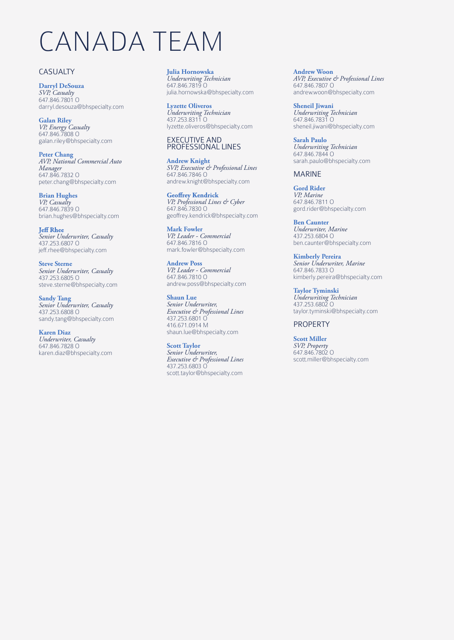# CANADA TEAM

# CASUALTY

**Darryl DeSouza** *SVP, Casualty* 647.846.7801 O darryl.desouza@bhspecialty.com

**Galan Riley** *VP, Energy Casualty* 647.846.7808 O galan.riley@bhspecialty.com

**Peter Chang** *AVP, National Commercial Auto Manager* 647.846.7832 O peter.chang@bhspecialty.com

**Brian Hughes** *VP, Casualty* 647.846.7839 O brian.hughes@bhspecialty.com

**Jeff Rhee** *Senior Underwriter, Casualty* 437.253.6807 O jeff.rhee@bhspecialty.com

**Steve Sterne** *Senior Underwriter, Casualty* 437.253.6805 O steve.sterne@bhspecialty.com

**Sandy Tang** *Senior Underwriter, Casualty* 437.253.6808 O sandy.tang@bhspecialty.com

**Karen Diaz** *Underwriter, Casualty*  647.846.7828 O karen.diaz@bhspecialty.com **Julia Hornowska** *Underwriting Technician* 647.846.7819 O julia.hornowska@bhspecialty.com

**Lyzette Oliveros** *Underwriting Technician* 437.253.8311 O lyzette.oliveros@bhspecialty.com

#### EXECUTIVE AND PROFESSIONAL LINES

**Andrew Knight** *SVP, Executive & Professional Lines* 647.846.7846 O andrew.knight@bhspecialty.com

**Geoffrey Kendrick** *VP, Professional Lines & Cyber* 647.846.7830 O geoffrey.kendrick@bhspecialty.com

**Mark Fowler** *VP, Leader - Commercial* 647.846.7816 O mark.fowler@bhspecialty.com

**Andrew Poss** *VP, Leader - Commercial* 647.846.7810 O andrew.poss@bhspecialty.com

**Shaun Lue** *Senior Underwriter, Executive & Professional Lines* 437.253.6801 O 416.671.0914 M shaun.lue@bhspecialty.com

**Scott Taylor** *Senior Underwriter, Executive & Professional Lines* 437.253.6803 O scott.taylor@bhspecialty.com **Andrew Woon** *AVP, Executive & Professional Lines* 647.846.7807 O andrew.woon@bhspecialty.com

**Sheneil Jiwani** *Underwriting Technician* 647.846.7831 O sheneil.jiwani@bhspecialty.com

**Sarah Paulo** *Underwriting Technician* 647.846.7844 O sarah.paulo@bhspecialty.com

## MARINE

**Gord Rider** *VP, Marine* 647.846.7811 O gord.rider@bhspecialty.com

**Ben Caunter** *Underwriter, Marine* 437.253.6804 O ben.caunter@bhspecialty.com

**Kimberly Pereira** *Senior Underwriter, Marine* 647.846.7833 O kimberly.pereira@bhspecialty.com

**Taylor Tyminski** *Underwriting Technician* 437.253.6802 O taylor.tyminski@bhspecialty.com

## PROPERTY

**Scott Miller** *SVP, Property* 647.846.7802 O scott.miller@bhspecialty.com